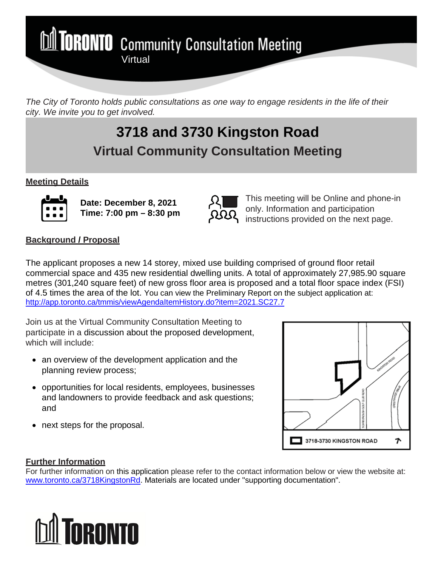**M TORONTO** Community Consultation Meeting **Virtual** 

*The City of Toronto holds public consultations as one way to engage residents in the life of their city. We invite you to get involved.*

# **3718 and 3730 Kingston Road Virtual Community Consultation Meeting**

# **Meeting Details**



**Date: December 8, 2021 Time: 7:00 pm – 8:30 pm**



This meeting will be Online and phone-in only. Information and participation instructions provided on the next page.

# **Background / Proposal**

The applicant proposes a new 14 storey, mixed use building comprised of ground floor retail commercial space and 435 new residential dwelling units. A total of approximately 27,985.90 square metres (301,240 square feet) of new gross floor area is proposed and a total floor space index (FSI) of 4.5 times the area of the lot. You can view the Preliminary Report on the subject application at: <http://app.toronto.ca/tmmis/viewAgendaItemHistory.do?item=2021.SC27.7>

Join us at the Virtual Community Consultation Meeting to participate in a discussion about the proposed development, which will include:

- an overview of the development application and the planning review process;
- opportunities for local residents, employees, businesses and landowners to provide feedback and ask questions; and
- next steps for the proposal.



## **Further Information**

For further information on this application please refer to the contact information below or view the website at: www.toronto.ca/3718KingstonRd. Materials are located under "supporting documentation".